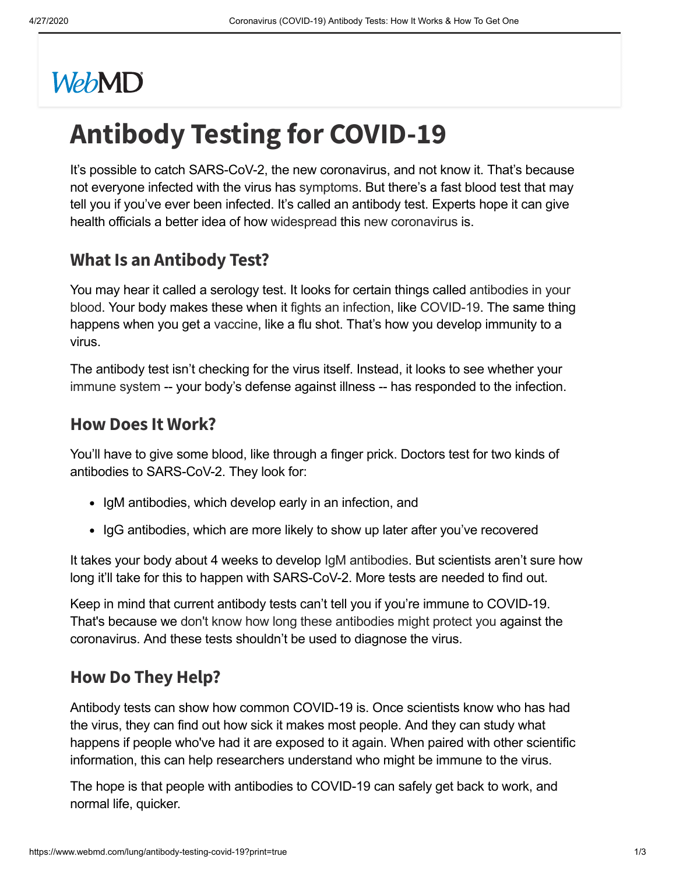# **WebMD**

# **Antibody Testing for COVID-19**

It's possible to catch SARS-CoV-2, the new coronavirus, and not know it. That's because not everyone infected with the virus has [symptoms](https://www.webmd.com/lung/covid-19-symptoms). But there's a fast blood test that may tell you if you've ever been infected. It's called an antibody test. Experts hope it can give health officials a better idea of how [widespread](https://www.webmd.com/lung/coronavirus-transmission-overview) this new [coronavirus](https://www.webmd.com/lung/coronavirus) is.

# **What Is an Antibody Test?**

You may hear it called a serology test. It looks for certain things called antibodies in your blood. Your body makes these when it fights an [infection,](https://www.webmd.com/cold-and-flu/immune-system-fight-infection) like [COVID-19.](https://www.webmd.com/baby/antibody-testing) The same thing happens when you get a [vaccine,](https://www.webmd.com/vaccines/default.htm) like a flu shot. That's how you develop immunity to a virus.

The antibody test isn't checking for the virus itself. Instead, it looks to see whether your [immune](https://www.webmd.com/cold-and-flu/immune-system-function) system -- your body's defense against illness -- has responded to the infection.

#### **How Does It Work?**

You'll have to give some blood, like through a finger prick. Doctors test for two kinds of antibodies to SARS-CoV-2. They look for:

- IgM antibodies, which develop early in an infection, and
- IgG antibodies, which are more likely to show up later after you've recovered

It takes your body about 4 weeks to develop IgM [antibodies.](https://www.webmd.com/a-to-z-guides/immunoglobulin-test) But scientists aren't sure how long it'll take for this to happen with SARS-CoV-2. More tests are needed to find out.

Keep in mind that current antibody tests can't tell you if you're immune to COVID-19. That's because we don't know how long these [antibodies](https://www.cidrap.umn.edu/news-perspective/2020/04/antibody-tests-may-hold-clues-covid-19-exposure-immunity-its-complicated) might protect you against the coronavirus. And these tests shouldn't be used to diagnose the virus.

#### **How Do They Help?**

Antibody tests can show how common COVID-19 is. Once scientists know who has had the virus, they can find out how sick it makes most people. And they can study what happens if people who've had it are exposed to it again. When paired with other scientific information, this can help researchers understand who might be immune to the virus.

The hope is that people with antibodies to COVID-19 can safely get back to work, and normal life, quicker.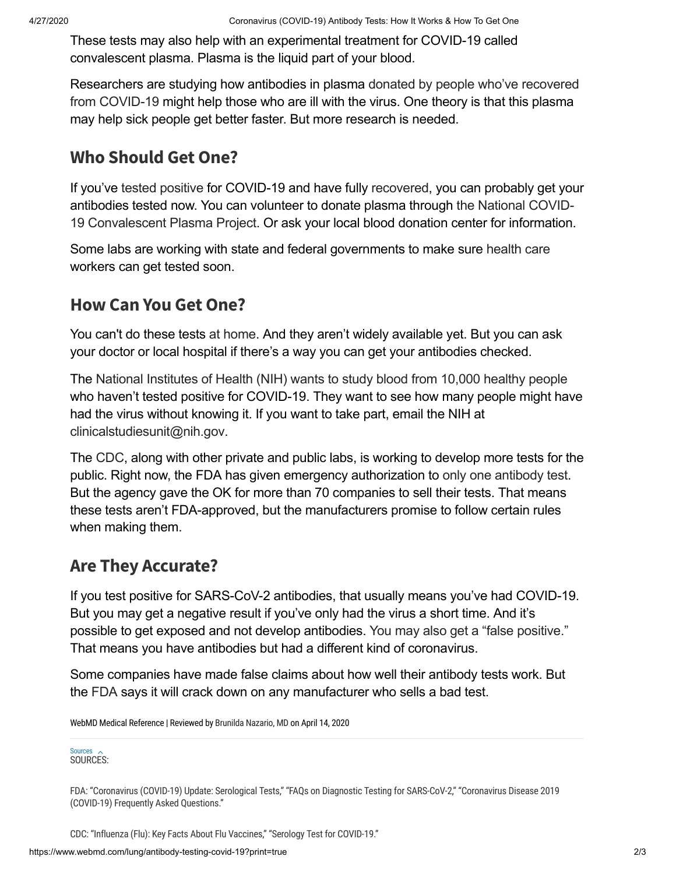These tests may also help with an experimental treatment for COVID-19 called convalescent plasma. Plasma is the liquid part of your blood.

[Researchers](https://www.fda.gov/emergency-preparedness-and-response/coronavirus-disease-2019-covid-19/donate-covid-19-plasma) are studying how antibodies in plasma donated by people who've recovered from COVID-19 might help those who are ill with the virus. One theory is that this plasma may help sick people get better faster. But more research is needed.

# **Who Should Get One?**

If you've tested [positive](https://https//www.webmd.com/lung/coronavirus-testing) for COVID-19 and have fully [recovered](https://www.webmd.com/lung/covid-recovery-overview), you can probably get your antibodies tested now. You can volunteer to donate plasma through the National COVID-19 [Convalescent](https://ccpp19.org/donors/index.html) Plasma Project. Or ask your local blood donation center for information.

Some labs are working with state and federal governments to make sure [health](https://www.webmd.com/health-insurance/default.htm) care workers can get tested soon.

### **How Can You Get One?**

You can't do these tests at [home](https://www.webmd.com/lung/covid-at-home-test). And they aren't widely available yet. But you can ask your doctor or local hospital if there's a way you can get your antibodies checked.

The National [Institutes](https://www.nih.gov/news-events/news-releases/nih-begins-study-quantify-undetected-cases-coronavirus-infection) of Health (NIH) wants to study blood from 10,000 healthy people who haven't tested positive for COVID-19. They want to see how many people might have had the virus without knowing it. If you want to take part, email the NIH at [clinicalstudiesunit@nih.gov.](mailto:clinicalstudiesunit@nih.gov)

The [CDC](https://www.cdc.gov/coronavirus/2019-ncov/php/testing.html), along with other private and public labs, is working to develop more tests for the public. Right now, the FDA has given emergency authorization to only one [antibody](https://www.webmd.com/lung/news/20200403/test-for-coronaovirus-antibodies-approved-by-fda) test. But the agency gave the OK for more than 70 companies to sell their tests. That means these tests aren't FDA-approved, but the manufacturers promise to follow certain rules when making them.

# **Are They Accurate?**

If you test positive for SARS-CoV-2 antibodies, that usually means you've had COVID-19. But you may get a negative result if you've only had the virus a short time. And it's possible to get exposed and not develop antibodies. You may also get a "false [positive."](https://www.npr.org/sections/health-shots/2020/04/15/834497497/antibody-tests-for-coronavirus-can-miss-the-mark) That means you have antibodies but had a different kind of coronavirus.

Some companies have made false claims about how well their antibody tests work. But the [FDA](https://www.fda.gov/news-events/press-announcements/coronavirus-covid-19-update-fda-alerts-consumers-about-unauthorized-fraudulent-covid-19-test-kits) says it will crack down on any manufacturer who sells a bad test.

WebMD Medical Reference | Reviewed by Brunilda [Nazario,](https://www.webmd.com/brunilda-nazario) MD on April 14, 2020

Sources<br>SOURCES:

FDA: "Coronavirus (COVID-19) Update: Serological Tests," "FAQs on Diagnostic Testing for SARS-CoV-2," "Coronavirus Disease 2019 (COVID-19) Frequently Asked Questions."

CDC: "Influenza (Flu): Key Facts About Flu Vaccines," "Serology Test for COVID-19."